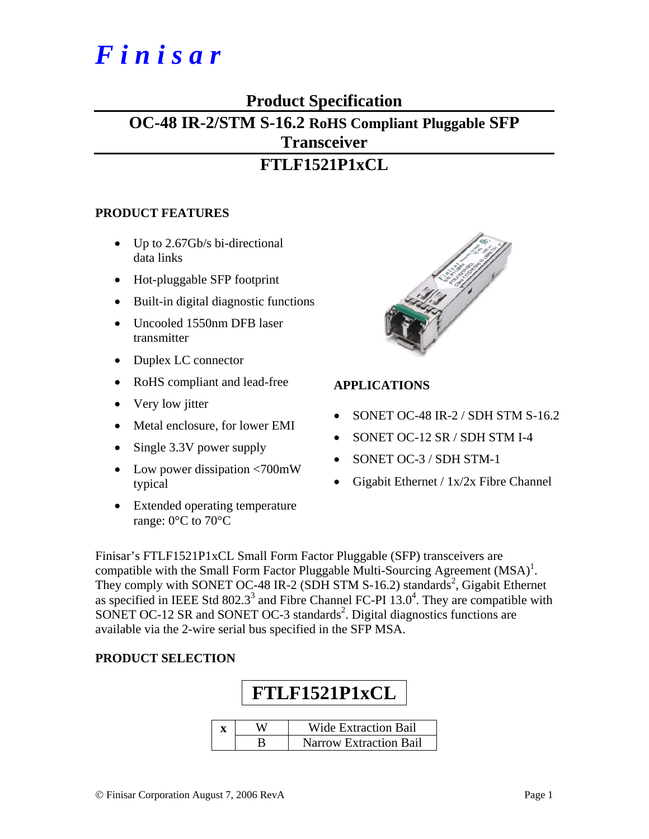## *F i n i s a r*

### **Product Specification**

## **OC-48 IR-2/STM S-16.2 RoHS Compliant Pluggable SFP Transceiver FTLF1521P1xCL**

#### **PRODUCT FEATURES**

- Up to 2.67Gb/s bi-directional data links
- Hot-pluggable SFP footprint
- Built-in digital diagnostic functions
- Uncooled 1550nm DFB laser transmitter
- Duplex LC connector
- RoHS compliant and lead-free
- Very low jitter
- Metal enclosure, for lower EMI
- Single 3.3V power supply
- Low power dissipation <700mW typical
- Extended operating temperature range: 0°C to 70°C



#### **APPLICATIONS**

- SONET OC-48 IR-2 / SDH STM S-16.2
- SONET OC-12 SR / SDH STM I-4
- SONET OC-3 / SDH STM-1
- Gigabit Ethernet / 1x/2x Fibre Channel

Finisar's FTLF1521P1xCL Small Form Factor Pluggable (SFP) transceivers are compatible with the Small Form Factor Pluggable Multi-Sourcing Agreement  $(MSA)^{1}$ . They comply with SONET OC-48 IR-2 (SDH STM S-16.2) standards<sup>2</sup>, Gigabit Ethernet as specified in IEEE Std  $802.3^3$  and Fibre Channel FC-PI  $13.0^4$ . They are compatible with SONET OC-12 SR and SONET OC-3 standards<sup>2</sup>. Digital diagnostics functions are available via the 2-wire serial bus specified in the SFP MSA.

#### **PRODUCT SELECTION**

# **FTLF1521P1xCL**

|  | <b>Wide Extraction Bail</b> |
|--|-----------------------------|
|  | Narrow Extraction Bail      |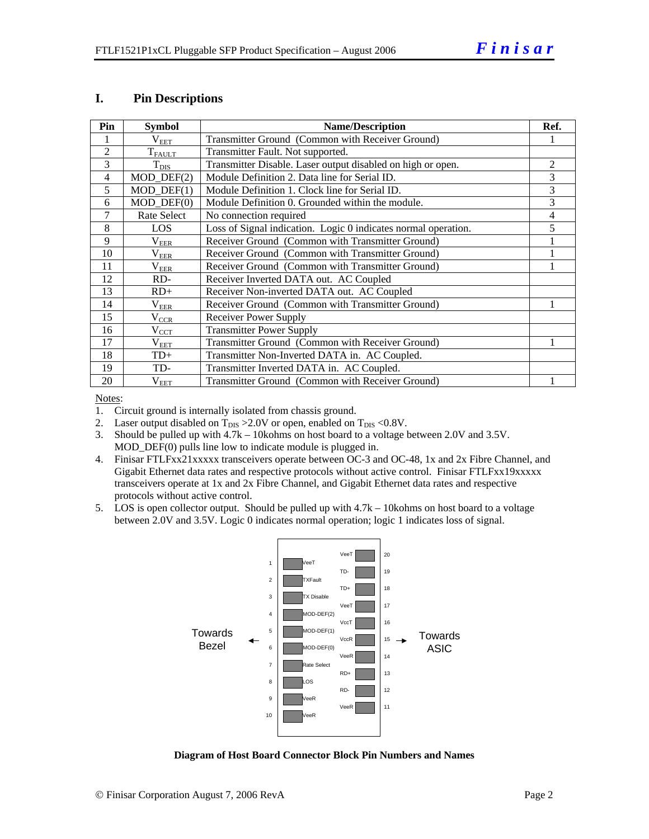#### **I. Pin Descriptions**

| Pin            | <b>Symbol</b>      | <b>Name/Description</b>                                        |   |  |  |
|----------------|--------------------|----------------------------------------------------------------|---|--|--|
|                | $\rm V_{EET}$      | Transmitter Ground (Common with Receiver Ground)               |   |  |  |
| 2              | $T_{\text{FALLT}}$ | Transmitter Fault. Not supported.                              |   |  |  |
| 3              | $T_{\text{DIS}}$   | Transmitter Disable. Laser output disabled on high or open.    | 2 |  |  |
| $\overline{4}$ | $MOD_$ DEF(2)      | Module Definition 2. Data line for Serial ID.                  | 3 |  |  |
| 5              | $MOD_$ DEF(1)      | Module Definition 1. Clock line for Serial ID.                 | 3 |  |  |
| 6              | $MOD$ $DEF(0)$     | Module Definition 0. Grounded within the module.               | 3 |  |  |
| 7              | Rate Select        | No connection required                                         | 4 |  |  |
| 8              | LOS                | Loss of Signal indication. Logic 0 indicates normal operation. | 5 |  |  |
| 9              | $\rm V_{EER}$      | Receiver Ground (Common with Transmitter Ground)               |   |  |  |
| 10             | $\rm V_{EER}$      | Receiver Ground (Common with Transmitter Ground)               |   |  |  |
| 11             | $\rm V_{EER}$      | Receiver Ground (Common with Transmitter Ground)               |   |  |  |
| 12             | RD-                | Receiver Inverted DATA out. AC Coupled                         |   |  |  |
| 13             | $RD+$              | Receiver Non-inverted DATA out. AC Coupled                     |   |  |  |
| 14             | $\rm V_{EER}$      | Receiver Ground (Common with Transmitter Ground)               |   |  |  |
| 15             | $\rm V_{CCR}$      | <b>Receiver Power Supply</b>                                   |   |  |  |
| 16             | $V_{\text{CCT}}$   | <b>Transmitter Power Supply</b>                                |   |  |  |
| 17             | $\rm V_{EET}$      | Transmitter Ground (Common with Receiver Ground)               |   |  |  |
| 18             | $TD+$              | Transmitter Non-Inverted DATA in. AC Coupled.                  |   |  |  |
| 19             | TD-                | Transmitter Inverted DATA in. AC Coupled.                      |   |  |  |
| 20             | $\rm V_{EET}$      | Transmitter Ground (Common with Receiver Ground)               |   |  |  |

Notes:

1. Circuit ground is internally isolated from chassis ground.

2. Laser output disabled on  $T_{DIS} > 2.0V$  or open, enabled on  $T_{DIS} < 0.8V$ .

3. Should be pulled up with 4.7k – 10kohms on host board to a voltage between 2.0V and 3.5V. MOD\_DEF(0) pulls line low to indicate module is plugged in.

- 4. Finisar FTLFxx21xxxxx transceivers operate between OC-3 and OC-48, 1x and 2x Fibre Channel, and Gigabit Ethernet data rates and respective protocols without active control. Finisar FTLFxx19xxxxx transceivers operate at 1x and 2x Fibre Channel, and Gigabit Ethernet data rates and respective protocols without active control.
- 5. LOS is open collector output. Should be pulled up with 4.7k 10kohms on host board to a voltage between 2.0V and 3.5V. Logic 0 indicates normal operation; logic 1 indicates loss of signal.



**Diagram of Host Board Connector Block Pin Numbers and Names**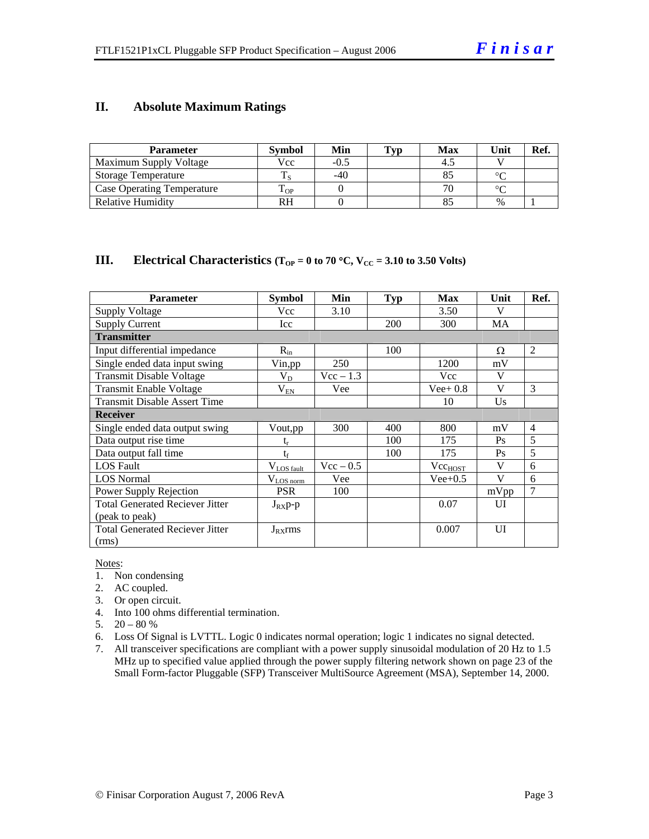#### **II. Absolute Maximum Ratings**

| <b>Parameter</b>                  | <b>Symbol</b> | Min   | Typ | <b>Max</b> | Unit   | Ref. |
|-----------------------------------|---------------|-------|-----|------------|--------|------|
| Maximum Supply Voltage            | Vcc           | -0.5  |     |            |        |      |
| <b>Storage Temperature</b>        |               | $-40$ |     |            | $\sim$ |      |
| <b>Case Operating Temperature</b> | - OP          |       |     |            | $\sim$ |      |
| Relative Humidity                 | RH            |       |     |            | $\%$   |      |

#### **III.** Electrical Characteristics ( $T_{OP} = 0$  to 70 °C,  $V_{CC} = 3.10$  to 3.50 Volts)

| <b>Parameter</b>                       | <b>Symbol</b>           | Min         | <b>Typ</b> | <b>Max</b>          | Unit         | Ref.           |
|----------------------------------------|-------------------------|-------------|------------|---------------------|--------------|----------------|
| Supply Voltage                         | Vcc                     | 3.10        |            | 3.50                | V            |                |
| <b>Supply Current</b>                  | <b>Icc</b>              |             | 200        | 300                 | MA           |                |
| <b>Transmitter</b>                     |                         |             |            |                     |              |                |
| Input differential impedance           | $R_{in}$                |             | 100        |                     | Ω            | 2              |
| Single ended data input swing          | Vin,pp                  | 250         |            | 1200                | mV           |                |
| <b>Transmit Disable Voltage</b>        | $V_D$                   | $Vec - 1.3$ |            | Vcc                 | V            |                |
| Transmit Enable Voltage                | $V_{EN}$                | Vee         |            | $Vee+0.8$           | V            | 3              |
| <b>Transmit Disable Assert Time</b>    |                         |             |            | 10                  | Us           |                |
| <b>Receiver</b>                        |                         |             |            |                     |              |                |
| Single ended data output swing         | Vout, pp                | 300         | 400        | 800                 | mV           | $\overline{4}$ |
| Data output rise time                  | $\mathrm{t_{r}}$        |             | 100        | 175                 | Ps           | 5              |
| Data output fall time                  | $t_f$                   |             | 100        | 175                 | Ps           | $\overline{5}$ |
| <b>LOS</b> Fault                       | $V_{LOS \text{ fault}}$ | $Vec - 0.5$ |            | Vec <sub>HOST</sub> | V            | 6              |
| <b>LOS</b> Normal                      | $V_{LOS\,norm}$         | Vee         |            | $Vee+0.5$           | $\mathbf{V}$ | 6              |
| Power Supply Rejection                 | <b>PSR</b>              | 100         |            |                     | mVpp         | 7              |
| <b>Total Generated Reciever Jitter</b> | $J_{RX}p-p$             |             |            | 0.07                | UI           |                |
| (peak to peak)                         |                         |             |            |                     |              |                |
| <b>Total Generated Reciever Jitter</b> | $J_{RX}$ rms            |             |            | 0.007               | UI           |                |
| (rms)                                  |                         |             |            |                     |              |                |

Notes:

- 1. Non condensing
- 2. AC coupled.
- 3. Or open circuit.
- 4. Into 100 ohms differential termination.
- 5.  $20 80 %$
- 6. Loss Of Signal is LVTTL. Logic 0 indicates normal operation; logic 1 indicates no signal detected.
- 7. All transceiver specifications are compliant with a power supply sinusoidal modulation of 20 Hz to 1.5 MHz up to specified value applied through the power supply filtering network shown on page 23 of the Small Form-factor Pluggable (SFP) Transceiver MultiSource Agreement (MSA), September 14, 2000.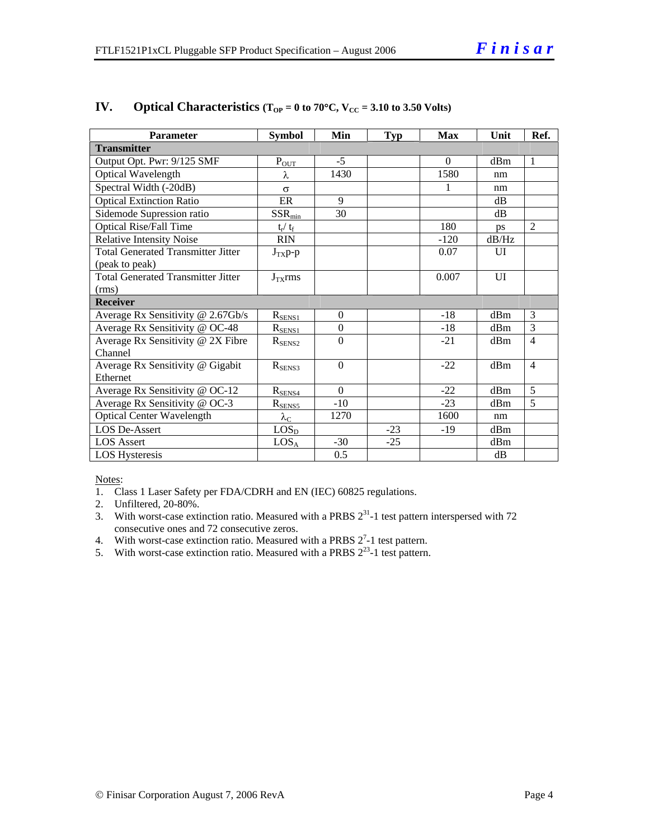| <b>Parameter</b>                          | <b>Symbol</b>           | Min              | <b>Typ</b> | <b>Max</b> | Unit           | Ref.           |  |  |
|-------------------------------------------|-------------------------|------------------|------------|------------|----------------|----------------|--|--|
| <b>Transmitter</b>                        |                         |                  |            |            |                |                |  |  |
| Output Opt. Pwr: 9/125 SMF                | $P_{OUT}$               | $-5$             |            | $\Omega$   | dBm            | $\mathbf{1}$   |  |  |
| Optical Wavelength                        | λ                       | 1430             |            | 1580       | nm             |                |  |  |
| Spectral Width (-20dB)                    | $\sigma$                |                  |            |            | nm             |                |  |  |
| <b>Optical Extinction Ratio</b>           | ER                      | 9                |            |            | dB             |                |  |  |
| Sidemode Supression ratio                 | $SSR_{min}$             | 30               |            |            | dB             |                |  |  |
| <b>Optical Rise/Fall Time</b>             | $t_{\rm r} / t_{\rm f}$ |                  |            | 180        | ps             | $\mathfrak{D}$ |  |  |
| <b>Relative Intensity Noise</b>           | <b>RIN</b>              |                  |            | $-120$     | dB/Hz          |                |  |  |
| <b>Total Generated Transmitter Jitter</b> | $J_{TX}p-p$             |                  |            | 0.07       | $\overline{U}$ |                |  |  |
| (peak to peak)                            |                         |                  |            |            |                |                |  |  |
| <b>Total Generated Transmitter Jitter</b> | $J_{TX}$ rms            |                  |            | 0.007      | UI             |                |  |  |
| (rms)                                     |                         |                  |            |            |                |                |  |  |
| <b>Receiver</b>                           |                         |                  |            |            |                |                |  |  |
| Average Rx Sensitivity @ 2.67Gb/s         | $R_{SENS1}$             | $\overline{0}$   |            | $-18$      | dBm            | 3              |  |  |
| Average Rx Sensitivity @ OC-48            | $R_{SENS1}$             | $\boldsymbol{0}$ |            | $-18$      | dBm            | 3              |  |  |
| Average Rx Sensitivity @ 2X Fibre         | $R_{\rm SENS2}$         | $\Omega$         |            | $-21$      | dBm            | $\overline{4}$ |  |  |
| Channel                                   |                         |                  |            |            |                |                |  |  |
| Average Rx Sensitivity @ Gigabit          | $R_{SENS3}$             | $\Omega$         |            | $-22$      | dBm            | $\overline{4}$ |  |  |
| Ethernet                                  |                         |                  |            |            |                |                |  |  |
| Average Rx Sensitivity @ OC-12            | $R_{\text{SENS4}}$      | $\Omega$         |            | $-22$      | dBm            | 5              |  |  |
| Average Rx Sensitivity @ OC-3             | $R_{\text{SENS5}}$      | $-10$            |            | $-23$      | dBm            | 5              |  |  |
| <b>Optical Center Wavelength</b>          | $\lambda_{\mathrm{C}}$  | 1270             |            | 1600       | nm             |                |  |  |
| <b>LOS De-Assert</b>                      | LOS <sub>D</sub>        |                  | $-23$      | $-19$      | dBm            |                |  |  |
| <b>LOS</b> Assert                         | LOS <sub>A</sub>        | $-30$            | $-25$      |            | dBm            |                |  |  |
| <b>LOS Hysteresis</b>                     |                         | 0.5              |            |            | dB             |                |  |  |

#### **IV.** Optical Characteristics ( $T_{OP} = 0$  to 70°C,  $V_{CC} = 3.10$  to 3.50 Volts)

Notes:

- 1. Class 1 Laser Safety per FDA/CDRH and EN (IEC) 60825 regulations.
- 2. Unfiltered, 20-80%.
- 3. With worst-case extinction ratio. Measured with a PRBS  $2^{31}$ -1 test pattern interspersed with 72 consecutive ones and 72 consecutive zeros.
- 4. With worst-case extinction ratio. Measured with a PRBS  $2^7$ -1 test pattern.
- 5. With worst-case extinction ratio. Measured with a PRBS  $2^{23}$ -1 test pattern.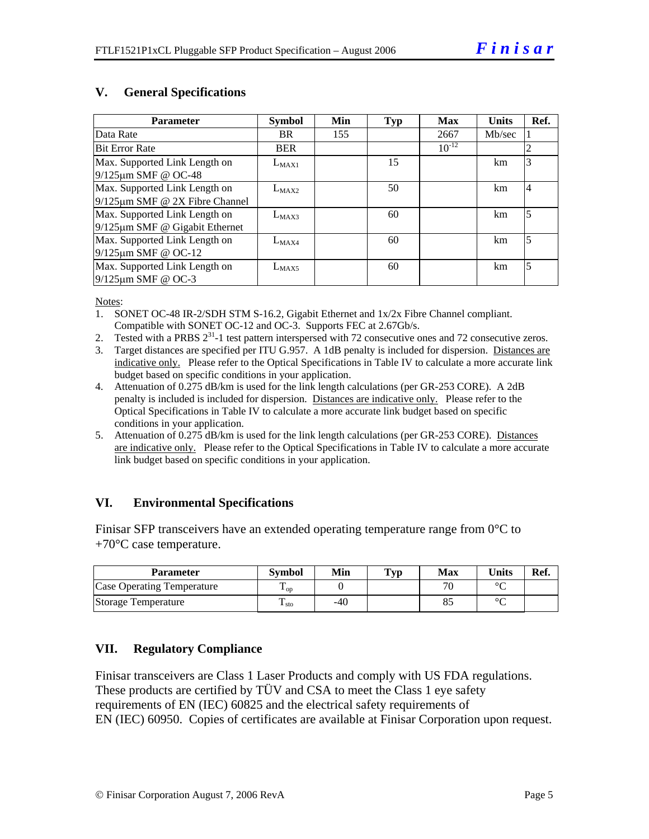| <b>Parameter</b>                     | <b>Symbol</b> | <b>Min</b> | Typ | <b>Max</b> | <b>Units</b> | Ref.           |
|--------------------------------------|---------------|------------|-----|------------|--------------|----------------|
| Data Rate                            | <b>BR</b>     | 155        |     | 2667       | Mb/sec       |                |
| <b>Bit Error Rate</b>                | <b>BER</b>    |            |     | $10^{-12}$ |              | $\overline{c}$ |
| Max. Supported Link Length on        | $L_{MAX1}$    |            | 15  |            | km           | 3              |
| 9/125µm SMF @ OC-48                  |               |            |     |            |              |                |
| Max. Supported Link Length on        | $L_{MAX2}$    |            | 50  |            | km           | $\overline{4}$ |
| $9/125 \mu m$ SMF @ 2X Fibre Channel |               |            |     |            |              |                |
| Max. Supported Link Length on        | $L_{MAX3}$    |            | 60  |            | km           | 5              |
| $9/125 \mu m$ SMF @ Gigabit Ethernet |               |            |     |            |              |                |
| Max. Supported Link Length on        | $L_{MAX4}$    |            | 60  |            | km           | $\overline{5}$ |
| $9/125 \mu m$ SMF @ OC-12            |               |            |     |            |              |                |
| Max. Supported Link Length on        | $L_{MAX5}$    |            | 60  |            | km.          | 5              |
| $9/125 \mu m$ SMF @ OC-3             |               |            |     |            |              |                |

#### **V. General Specifications**

Notes:

- 1. SONET OC-48 IR-2/SDH STM S-16.2, Gigabit Ethernet and 1x/2x Fibre Channel compliant. Compatible with SONET OC-12 and OC-3. Supports FEC at 2.67Gb/s.
- 2. Tested with a PRBS  $2^{31}$ -1 test pattern interspersed with 72 consecutive ones and 72 consecutive zeros.
- 3. Target distances are specified per ITU G.957. A 1dB penalty is included for dispersion. Distances are indicative only. Please refer to the Optical Specifications in Table IV to calculate a more accurate link budget based on specific conditions in your application.
- 4. Attenuation of 0.275 dB/km is used for the link length calculations (per GR-253 CORE). A 2dB penalty is included is included for dispersion. Distances are indicative only. Please refer to the Optical Specifications in Table IV to calculate a more accurate link budget based on specific conditions in your application.
- 5. Attenuation of 0.275 dB/km is used for the link length calculations (per GR-253 CORE). Distances are indicative only. Please refer to the Optical Specifications in Table IV to calculate a more accurate link budget based on specific conditions in your application.

#### **VI. Environmental Specifications**

Finisar SFP transceivers have an extended operating temperature range from 0<sup>o</sup>C to  $+70^{\circ}$ C case temperature.

| <b>Parameter</b>           | <b>Symbol</b>     | Min | $\mathbf{T}_{\mathbf{V}\mathbf{p}}$ | Max                      | Units  | Ref. |
|----------------------------|-------------------|-----|-------------------------------------|--------------------------|--------|------|
| Case Operating Temperature | $\mathbf{L}_{OD}$ |     |                                     | $\overline{\phantom{a}}$ | $\sim$ |      |
| Storage Temperature        | ᠇<br>$\pm$ sto    | -40 |                                     |                          | $\sim$ |      |

#### **VII. Regulatory Compliance**

Finisar transceivers are Class 1 Laser Products and comply with US FDA regulations. These products are certified by TÜV and CSA to meet the Class 1 eye safety requirements of EN (IEC) 60825 and the electrical safety requirements of EN (IEC) 60950. Copies of certificates are available at Finisar Corporation upon request.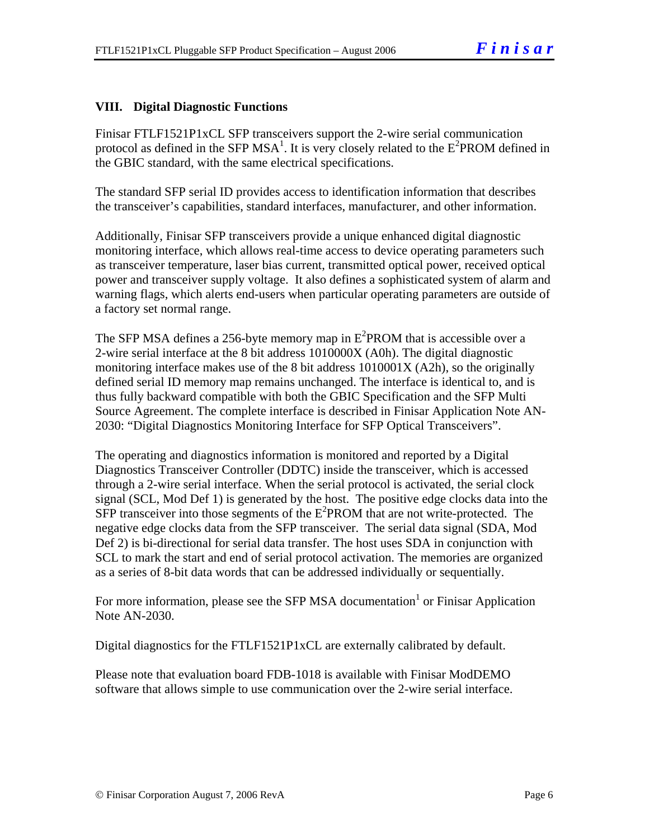#### **VIII. Digital Diagnostic Functions**

Finisar FTLF1521P1xCL SFP transceivers support the 2-wire serial communication protocol as defined in the SFP MSA<sup>1</sup>. It is very closely related to the  $E^2$ PROM defined in the GBIC standard, with the same electrical specifications.

The standard SFP serial ID provides access to identification information that describes the transceiver's capabilities, standard interfaces, manufacturer, and other information.

Additionally, Finisar SFP transceivers provide a unique enhanced digital diagnostic monitoring interface, which allows real-time access to device operating parameters such as transceiver temperature, laser bias current, transmitted optical power, received optical power and transceiver supply voltage. It also defines a sophisticated system of alarm and warning flags, which alerts end-users when particular operating parameters are outside of a factory set normal range.

The SFP MSA defines a 256-byte memory map in  $E^2$ PROM that is accessible over a 2-wire serial interface at the 8 bit address 1010000X (A0h). The digital diagnostic monitoring interface makes use of the 8 bit address 1010001X (A2h), so the originally defined serial ID memory map remains unchanged. The interface is identical to, and is thus fully backward compatible with both the GBIC Specification and the SFP Multi Source Agreement. The complete interface is described in Finisar Application Note AN-2030: "Digital Diagnostics Monitoring Interface for SFP Optical Transceivers".

The operating and diagnostics information is monitored and reported by a Digital Diagnostics Transceiver Controller (DDTC) inside the transceiver, which is accessed through a 2-wire serial interface. When the serial protocol is activated, the serial clock signal (SCL, Mod Def 1) is generated by the host. The positive edge clocks data into the  $SFP$  transceiver into those segments of the  $E^2$ PROM that are not write-protected. The negative edge clocks data from the SFP transceiver. The serial data signal (SDA, Mod Def 2) is bi-directional for serial data transfer. The host uses SDA in conjunction with SCL to mark the start and end of serial protocol activation. The memories are organized as a series of 8-bit data words that can be addressed individually or sequentially.

For more information, please see the SFP MSA documentation<sup>1</sup> or Finisar Application Note AN-2030.

Digital diagnostics for the FTLF1521P1xCL are externally calibrated by default.

Please note that evaluation board FDB-1018 is available with Finisar ModDEMO software that allows simple to use communication over the 2-wire serial interface.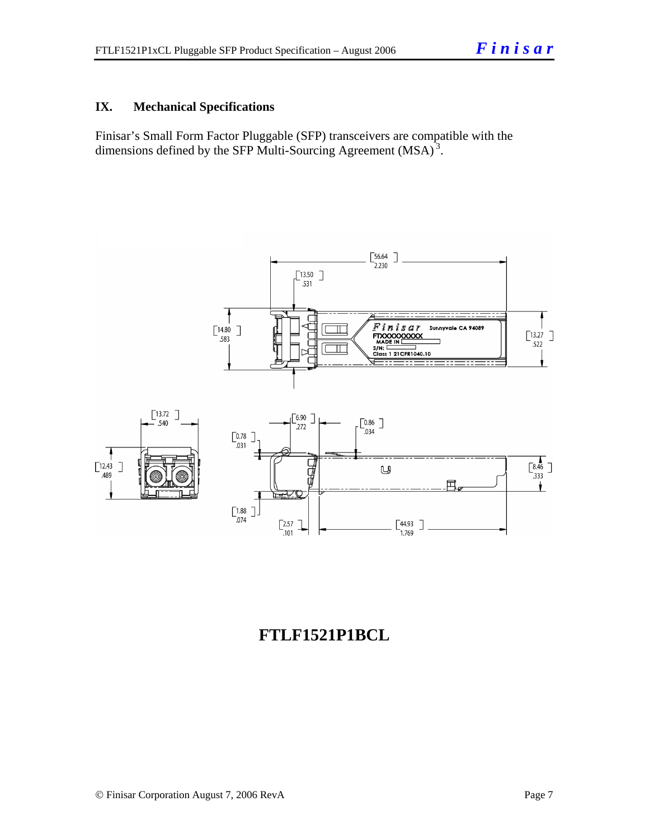#### **IX. Mechanical Specifications**

Finisar's Small Form Factor Pluggable (SFP) transceivers are compatible with the dimensions defined by the SFP Multi-Sourcing Agreement (MSA)<sup>3</sup>.



## **FTLF1521P1BCL**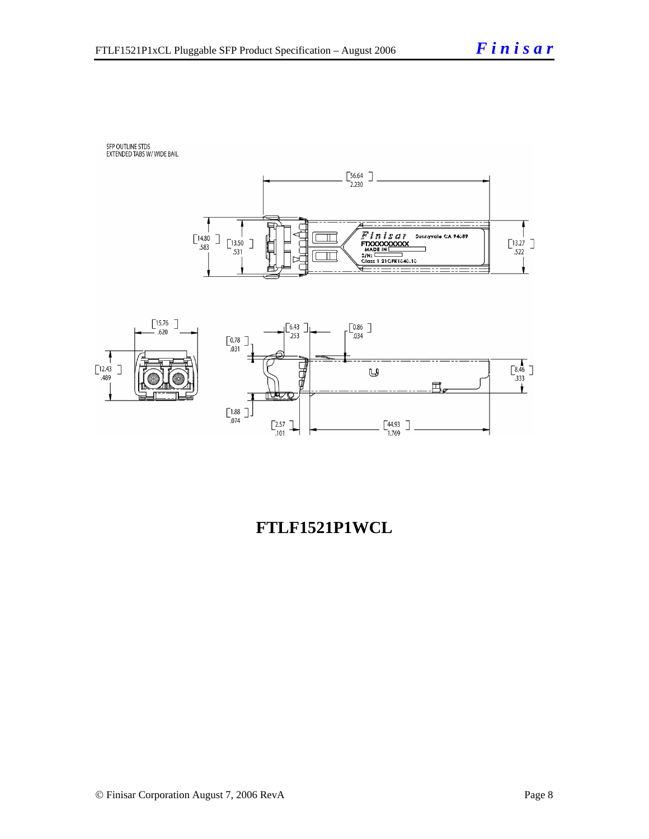## SFP OUTLINE STDS<br>EXTENDED TABS W/ WIDE BAIL





## **FTLF1521P1WCL**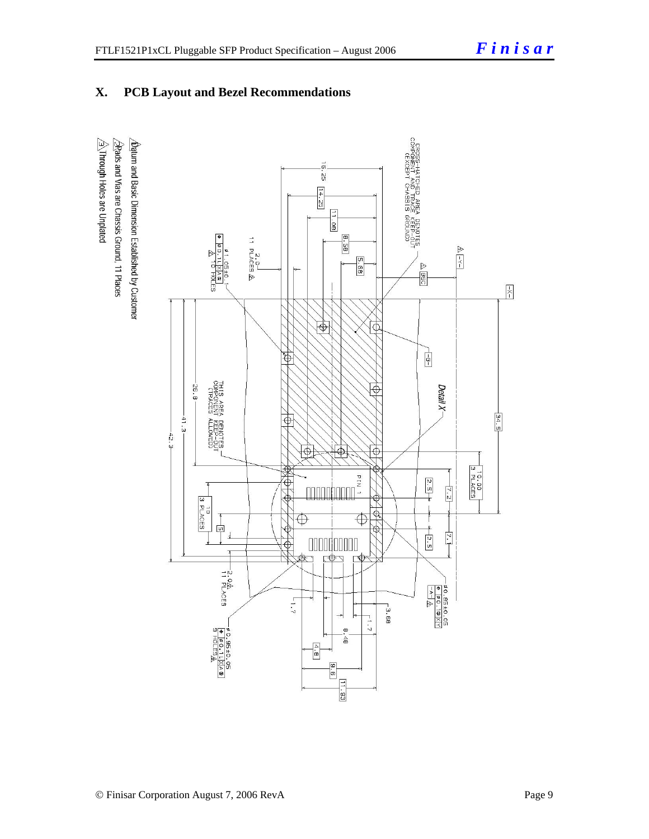#### **X. PCB Layout and Bezel Recommendations**

 $\hat{\triangle}$ Through Holes are Unplated 2Rads and Vias are Chassis Ground, 11 Places  $\Delta$ atum and Basic Dimension Established by Customer

DROSS-HATCHED AREA DENDTES<br>UN-GIST CAR REAL DROSS<br>COMPONENT CHASSIS GROUND  $\vec{a}$  $\mathbb{S}^2$  $\frac{14.25}{7}$  $\frac{11.08}{11}$  $8.58$ 2.0-<br>11 PLACES <u>A</u>  $\triangleright$  $\overline{z}$ 89.5  $-0.5 + 0.$ L XA & L<br>10 HOLES  $\triangleright$  $\overline{BB}$  $\boxed{\frac{1}{X}}$ द्वि  $\overline{\Phi}$  $\frac{1}{2}$  $\overline{\mathfrak{G}}$ THIS AREA<br>COMPONENT<br>CTRACES A 8.85  $\hat{\Theta}$ Detail X- $\frac{34.5}{2}$  $-41.3 -$ A DENOTES<br>T KEEP-OUT<br>ALLOWED)  $\oplus$  $-42.3$  $\overline{\bigtriangledown}$  $\color{black} \Phi$  $\bigoplus$  $\begin{array}{c}\n\text{10.00}\n\end{array}$  $rac{2.5}{1}$ φ  $\frac{1}{2}$  $\frac{1}{3}$  PLACES  $\frac{1}{2}$  $\overline{\oplus}$  $\overline{\oplus}$  $\frac{1}{2}$  $+5.5$ Ŀ. 000000000  $\overline{\Phi}$ 中  $\Rightarrow$  $\overline{\phantom{0}}$ -2.0<br>11 PLACES  $-40.85 \pm 0.05$ <br>  $+12$ <br>  $-4$   $-12$  $1 - 7$  $-3.68$  $\frac{1}{2}$  $\begin{array}{r} -\frac{\sqrt{5}}{9} & -\frac{1}{9} & -\frac{1}{9} & -\frac{1}{9} \\ \hline \frac{1}{9} & -\frac{1}{9} & -\frac{1}{1} & -\frac{1}{1} \times \left| \frac{1}{A} \right| \frac{1}{A} & \textcircled{1} \end{array}$  $\infty$  $\frac{4}{9}$  $\boxed{\frac{4}{\mathbf{c}}}$  $\sqrt{\frac{6}{5}}$  $\boxed{11.93}$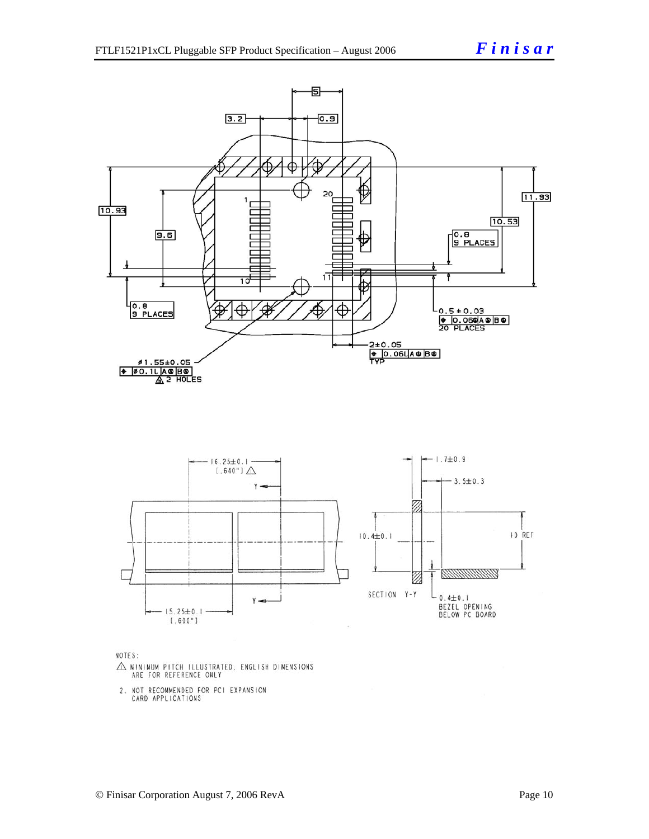



NOTES:

- $\triangle$  MINIMUM PITCH ILLUSTRATED, ENGLISH DIMENSIONS ARE FOR REFERENCE ONLY
- 2. NOT RECOMMENDED FOR PCI EXPANSION<br>CARD APPLICATIONS